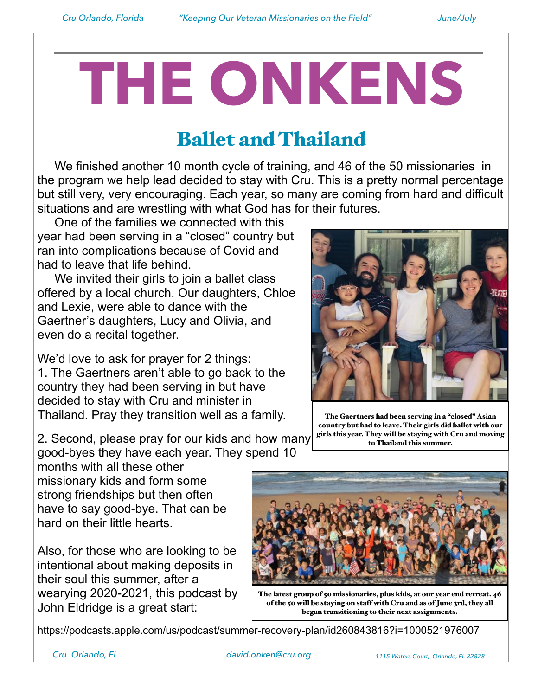## **THE ONKENS**

## Ballet and Thailand

 We finished another 10 month cycle of training, and 46 of the 50 missionaries in the program we help lead decided to stay with Cru. This is a pretty normal percentage but still very, very encouraging. Each year, so many are coming from hard and difficult situations and are wrestling with what God has for their futures.

 One of the families we connected with this year had been serving in a "closed" country but ran into complications because of Covid and had to leave that life behind.

We invited their girls to join a ballet class offered by a local church. Our daughters, Chloe and Lexie, were able to dance with the Gaertner's daughters, Lucy and Olivia, and even do a recital together.

We'd love to ask for prayer for 2 things: 1. The Gaertners aren't able to go back to the country they had been serving in but have decided to stay with Cru and minister in Thailand. Pray they transition well as a family.

2. Second, please pray for our kids and how many good-byes they have each year. They spend 10

months with all these other missionary kids and form some strong friendships but then often have to say good-bye. That can be hard on their little hearts.

Also, for those who are looking to be intentional about making deposits in their soul this summer, after a wearying 2020-2021, this podcast by John Eldridge is a great start:

https://podcasts.apple.com/us/podcast/summer-recovery-plan/id260843816?i=1000521976007



The Gaertners had been serving in a "closed" Asian country but had to leave. Their girls did ballet with our girls this year. They will be staying with Cru and moving to Thailand this summer.



of the 50 will be staying on staff with Cru and as of June 3rd, they all began transitioning to their next assignments.